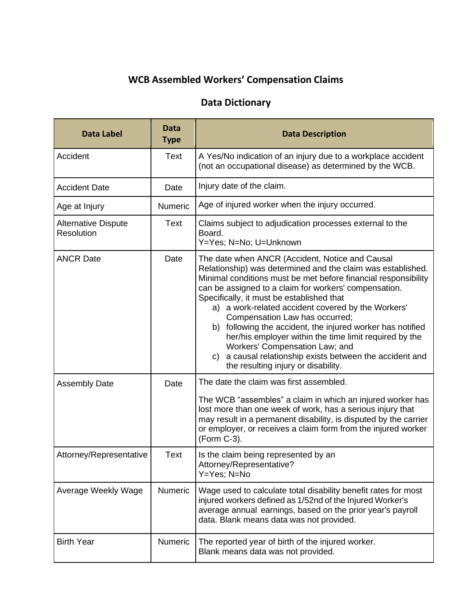## **WCB Assembled Workers' Compensation Claims**

## **Data Dictionary**

| <b>Data Label</b>                        | Data<br><b>Type</b> | <b>Data Description</b>                                                                                                                                                                                                                                                                                                                                                                                                                                                                                                                                                                                                                        |
|------------------------------------------|---------------------|------------------------------------------------------------------------------------------------------------------------------------------------------------------------------------------------------------------------------------------------------------------------------------------------------------------------------------------------------------------------------------------------------------------------------------------------------------------------------------------------------------------------------------------------------------------------------------------------------------------------------------------------|
| Accident                                 | <b>Text</b>         | A Yes/No indication of an injury due to a workplace accident<br>(not an occupational disease) as determined by the WCB.                                                                                                                                                                                                                                                                                                                                                                                                                                                                                                                        |
| <b>Accident Date</b>                     | Date                | Injury date of the claim.                                                                                                                                                                                                                                                                                                                                                                                                                                                                                                                                                                                                                      |
| Age at Injury                            | Numeric             | Age of injured worker when the injury occurred.                                                                                                                                                                                                                                                                                                                                                                                                                                                                                                                                                                                                |
| <b>Alternative Dispute</b><br>Resolution | Text                | Claims subject to adjudication processes external to the<br>Board.<br>Y=Yes; N=No; U=Unknown                                                                                                                                                                                                                                                                                                                                                                                                                                                                                                                                                   |
| <b>ANCR Date</b>                         | Date                | The date when ANCR (Accident, Notice and Causal<br>Relationship) was determined and the claim was established.<br>Minimal conditions must be met before financial responsibility<br>can be assigned to a claim for workers' compensation.<br>Specifically, it must be established that<br>a) a work-related accident covered by the Workers'<br>Compensation Law has occurred;<br>b) following the accident, the injured worker has notified<br>her/his employer within the time limit required by the<br>Workers' Compensation Law; and<br>a causal relationship exists between the accident and<br>C)<br>the resulting injury or disability. |
| <b>Assembly Date</b>                     | Date                | The date the claim was first assembled.<br>The WCB "assembles" a claim in which an injured worker has<br>lost more than one week of work, has a serious injury that<br>may result in a permanent disability, is disputed by the carrier<br>or employer, or receives a claim form from the injured worker<br>(Form C-3).                                                                                                                                                                                                                                                                                                                        |
| Attorney/Representative                  | <b>Text</b>         | Is the claim being represented by an<br>Attorney/Representative?<br>Y=Yes; N=No                                                                                                                                                                                                                                                                                                                                                                                                                                                                                                                                                                |
| Average Weekly Wage                      | Numeric             | Wage used to calculate total disability benefit rates for most<br>injured workers defined as 1/52nd of the Injured Worker's<br>average annual earnings, based on the prior year's payroll<br>data. Blank means data was not provided.                                                                                                                                                                                                                                                                                                                                                                                                          |
| <b>Birth Year</b>                        | <b>Numeric</b>      | The reported year of birth of the injured worker.<br>Blank means data was not provided.                                                                                                                                                                                                                                                                                                                                                                                                                                                                                                                                                        |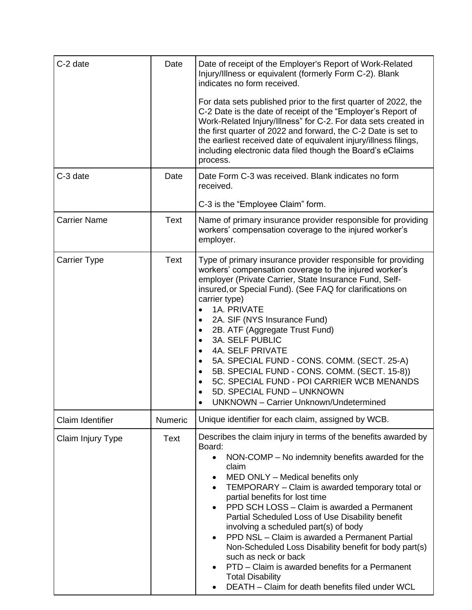| C-2 date            | Date           | Date of receipt of the Employer's Report of Work-Related<br>Injury/Illness or equivalent (formerly Form C-2). Blank<br>indicates no form received.<br>For data sets published prior to the first quarter of 2022, the<br>C-2 Date is the date of receipt of the "Employer's Report of<br>Work-Related Injury/Illness" for C-2. For data sets created in<br>the first quarter of 2022 and forward, the C-2 Date is set to<br>the earliest received date of equivalent injury/illness filings,<br>including electronic data filed though the Board's eClaims<br>process.                                                                                                                                                               |
|---------------------|----------------|--------------------------------------------------------------------------------------------------------------------------------------------------------------------------------------------------------------------------------------------------------------------------------------------------------------------------------------------------------------------------------------------------------------------------------------------------------------------------------------------------------------------------------------------------------------------------------------------------------------------------------------------------------------------------------------------------------------------------------------|
| C-3 date            | Date           | Date Form C-3 was received. Blank indicates no form<br>received.<br>C-3 is the "Employee Claim" form.                                                                                                                                                                                                                                                                                                                                                                                                                                                                                                                                                                                                                                |
| <b>Carrier Name</b> | <b>Text</b>    | Name of primary insurance provider responsible for providing<br>workers' compensation coverage to the injured worker's<br>employer.                                                                                                                                                                                                                                                                                                                                                                                                                                                                                                                                                                                                  |
| <b>Carrier Type</b> | Text           | Type of primary insurance provider responsible for providing<br>workers' compensation coverage to the injured worker's<br>employer (Private Carrier, State Insurance Fund, Self-<br>insured, or Special Fund). (See FAQ for clarifications on<br>carrier type)<br>1A. PRIVATE<br>2A. SIF (NYS Insurance Fund)<br>$\bullet$<br>2B. ATF (Aggregate Trust Fund)<br>$\bullet$<br><b>3A. SELF PUBLIC</b><br>$\bullet$<br><b>4A. SELF PRIVATE</b><br>$\bullet$<br>5A. SPECIAL FUND - CONS. COMM. (SECT. 25-A)<br>$\bullet$<br>5B. SPECIAL FUND - CONS. COMM. (SECT. 15-8))<br>$\bullet$<br>5C. SPECIAL FUND - POI CARRIER WCB MENANDS<br>5D. SPECIAL FUND - UNKNOWN<br><b>UNKNOWN - Carrier Unknown/Undetermined</b>                       |
| Claim Identifier    | <b>Numeric</b> | Unique identifier for each claim, assigned by WCB.                                                                                                                                                                                                                                                                                                                                                                                                                                                                                                                                                                                                                                                                                   |
| Claim Injury Type   | <b>Text</b>    | Describes the claim injury in terms of the benefits awarded by<br>Board:<br>NON-COMP – No indemnity benefits awarded for the<br>$\bullet$<br>claim<br>MED ONLY - Medical benefits only<br>$\bullet$<br>TEMPORARY - Claim is awarded temporary total or<br>$\bullet$<br>partial benefits for lost time<br>PPD SCH LOSS - Claim is awarded a Permanent<br>Partial Scheduled Loss of Use Disability benefit<br>involving a scheduled part(s) of body<br>PPD NSL - Claim is awarded a Permanent Partial<br>$\bullet$<br>Non-Scheduled Loss Disability benefit for body part(s)<br>such as neck or back<br>PTD – Claim is awarded benefits for a Permanent<br><b>Total Disability</b><br>DEATH - Claim for death benefits filed under WCL |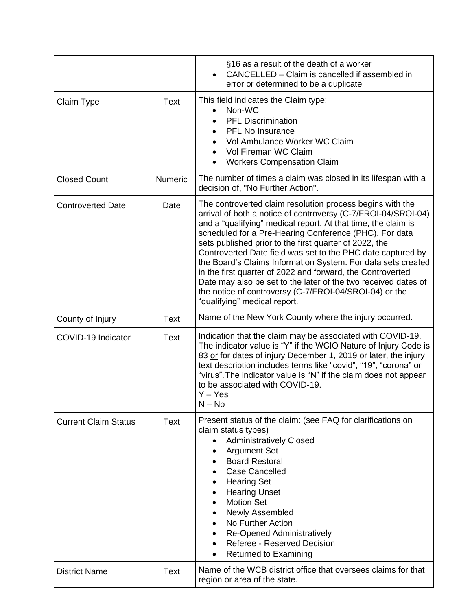|                             |             | §16 as a result of the death of a worker<br>CANCELLED – Claim is cancelled if assembled in<br>error or determined to be a duplicate                                                                                                                                                                                                                                                                                                                                                                                                                                                                                                                                      |
|-----------------------------|-------------|--------------------------------------------------------------------------------------------------------------------------------------------------------------------------------------------------------------------------------------------------------------------------------------------------------------------------------------------------------------------------------------------------------------------------------------------------------------------------------------------------------------------------------------------------------------------------------------------------------------------------------------------------------------------------|
| <b>Claim Type</b>           | <b>Text</b> | This field indicates the Claim type:<br>Non-WC<br><b>PFL Discrimination</b><br><b>PFL No Insurance</b><br>$\bullet$<br>Vol Ambulance Worker WC Claim<br>Vol Fireman WC Claim<br><b>Workers Compensation Claim</b>                                                                                                                                                                                                                                                                                                                                                                                                                                                        |
| <b>Closed Count</b>         | Numeric     | The number of times a claim was closed in its lifespan with a<br>decision of, "No Further Action".                                                                                                                                                                                                                                                                                                                                                                                                                                                                                                                                                                       |
| <b>Controverted Date</b>    | Date        | The controverted claim resolution process begins with the<br>arrival of both a notice of controversy (C-7/FROI-04/SROI-04)<br>and a "qualifying" medical report. At that time, the claim is<br>scheduled for a Pre-Hearing Conference (PHC). For data<br>sets published prior to the first quarter of 2022, the<br>Controverted Date field was set to the PHC date captured by<br>the Board's Claims Information System. For data sets created<br>in the first quarter of 2022 and forward, the Controverted<br>Date may also be set to the later of the two received dates of<br>the notice of controversy (C-7/FROI-04/SROI-04) or the<br>"qualifying" medical report. |
| County of Injury            | <b>Text</b> | Name of the New York County where the injury occurred.                                                                                                                                                                                                                                                                                                                                                                                                                                                                                                                                                                                                                   |
| COVID-19 Indicator          | Text        | Indication that the claim may be associated with COVID-19.<br>The indicator value is "Y" if the WCIO Nature of Injury Code is<br>83 or for dates of injury December 1, 2019 or later, the injury<br>text description includes terms like "covid", "19", "corona" or<br>"virus". The indicator value is "N" if the claim does not appear<br>to be associated with COVID-19.<br>Y – Yes<br>$N - No$                                                                                                                                                                                                                                                                        |
| <b>Current Claim Status</b> | <b>Text</b> | Present status of the claim: (see FAQ for clarifications on<br>claim status types)<br><b>Administratively Closed</b><br>$\bullet$<br><b>Argument Set</b><br><b>Board Restoral</b><br><b>Case Cancelled</b><br><b>Hearing Set</b><br><b>Hearing Unset</b><br><b>Motion Set</b><br>Newly Assembled<br>No Further Action<br><b>Re-Opened Administratively</b><br>Referee - Reserved Decision<br><b>Returned to Examining</b>                                                                                                                                                                                                                                                |
| <b>District Name</b>        | <b>Text</b> | Name of the WCB district office that oversees claims for that<br>region or area of the state.                                                                                                                                                                                                                                                                                                                                                                                                                                                                                                                                                                            |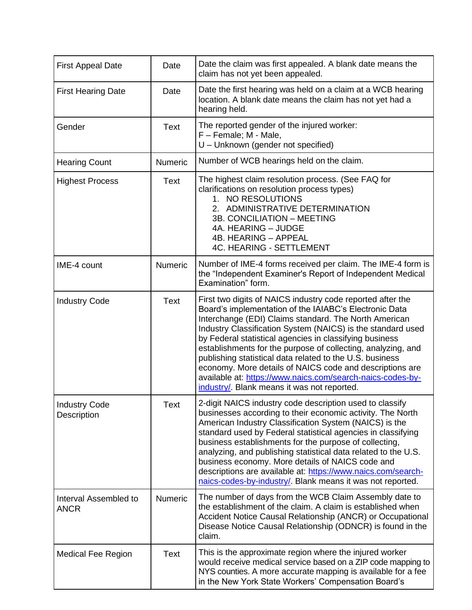| <b>First Appeal Date</b>             | Date           | Date the claim was first appealed. A blank date means the<br>claim has not yet been appealed.                                                                                                                                                                                                                                                                                                                                                                                                                                                                                                                |
|--------------------------------------|----------------|--------------------------------------------------------------------------------------------------------------------------------------------------------------------------------------------------------------------------------------------------------------------------------------------------------------------------------------------------------------------------------------------------------------------------------------------------------------------------------------------------------------------------------------------------------------------------------------------------------------|
| <b>First Hearing Date</b>            | Date           | Date the first hearing was held on a claim at a WCB hearing<br>location. A blank date means the claim has not yet had a<br>hearing held.                                                                                                                                                                                                                                                                                                                                                                                                                                                                     |
| Gender                               | <b>Text</b>    | The reported gender of the injured worker:<br>F - Female; M - Male,<br>U - Unknown (gender not specified)                                                                                                                                                                                                                                                                                                                                                                                                                                                                                                    |
| <b>Hearing Count</b>                 | <b>Numeric</b> | Number of WCB hearings held on the claim.                                                                                                                                                                                                                                                                                                                                                                                                                                                                                                                                                                    |
| <b>Highest Process</b>               | <b>Text</b>    | The highest claim resolution process. (See FAQ for<br>clarifications on resolution process types)<br>1. NO RESOLUTIONS<br>2. ADMINISTRATIVE DETERMINATION<br>3B. CONCILIATION - MEETING<br>4A. HEARING - JUDGE<br>4B. HEARING - APPEAL<br><b>4C. HEARING - SETTLEMENT</b>                                                                                                                                                                                                                                                                                                                                    |
| IME-4 count                          | Numeric        | Number of IME-4 forms received per claim. The IME-4 form is<br>the "Independent Examiner's Report of Independent Medical<br>Examination" form.                                                                                                                                                                                                                                                                                                                                                                                                                                                               |
| <b>Industry Code</b>                 | <b>Text</b>    | First two digits of NAICS industry code reported after the<br>Board's implementation of the IAIABC's Electronic Data<br>Interchange (EDI) Claims standard. The North American<br>Industry Classification System (NAICS) is the standard used<br>by Federal statistical agencies in classifying business<br>establishments for the purpose of collecting, analyzing, and<br>publishing statistical data related to the U.S. business<br>economy. More details of NAICS code and descriptions are<br>available at: https://www.naics.com/search-naics-codes-by-<br>industry/. Blank means it was not reported. |
| <b>Industry Code</b><br>Description  | Text           | 2-digit NAICS industry code description used to classify<br>businesses according to their economic activity. The North<br>American Industry Classification System (NAICS) is the<br>standard used by Federal statistical agencies in classifying<br>business establishments for the purpose of collecting,<br>analyzing, and publishing statistical data related to the U.S.<br>business economy. More details of NAICS code and<br>descriptions are available at: https://www.naics.com/search-<br>naics-codes-by-industry/. Blank means it was not reported.                                               |
| Interval Assembled to<br><b>ANCR</b> | Numeric        | The number of days from the WCB Claim Assembly date to<br>the establishment of the claim. A claim is established when<br>Accident Notice Causal Relationship (ANCR) or Occupational<br>Disease Notice Causal Relationship (ODNCR) is found in the<br>claim.                                                                                                                                                                                                                                                                                                                                                  |
| <b>Medical Fee Region</b>            | <b>Text</b>    | This is the approximate region where the injured worker<br>would receive medical service based on a ZIP code mapping to<br>NYS counties. A more accurate mapping is available for a fee<br>in the New York State Workers' Compensation Board's                                                                                                                                                                                                                                                                                                                                                               |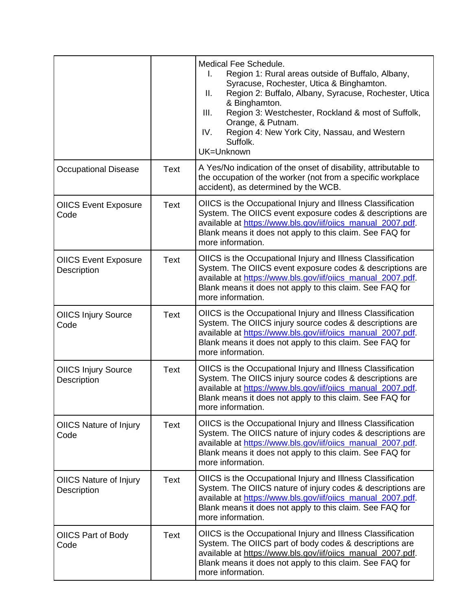|                                            |             | Medical Fee Schedule.<br>Region 1: Rural areas outside of Buffalo, Albany,<br>I.<br>Syracuse, Rochester, Utica & Binghamton.<br>Region 2: Buffalo, Albany, Syracuse, Rochester, Utica<br>Ш.<br>& Binghamton.<br>Region 3: Westchester, Rockland & most of Suffolk,<br>III.<br>Orange, & Putnam.<br>Region 4: New York City, Nassau, and Western<br>IV.<br>Suffolk.<br>UK=Unknown |
|--------------------------------------------|-------------|----------------------------------------------------------------------------------------------------------------------------------------------------------------------------------------------------------------------------------------------------------------------------------------------------------------------------------------------------------------------------------|
| <b>Occupational Disease</b>                | <b>Text</b> | A Yes/No indication of the onset of disability, attributable to<br>the occupation of the worker (not from a specific workplace<br>accident), as determined by the WCB.                                                                                                                                                                                                           |
| <b>OIICS Event Exposure</b><br>Code        | <b>Text</b> | OIICS is the Occupational Injury and Illness Classification<br>System. The OIICS event exposure codes & descriptions are<br>available at https://www.bls.gov/iif/oiics_manual_2007.pdf.<br>Blank means it does not apply to this claim. See FAQ for<br>more information.                                                                                                         |
| <b>OIICS Event Exposure</b><br>Description | <b>Text</b> | OIICS is the Occupational Injury and Illness Classification<br>System. The OIICS event exposure codes & descriptions are<br>available at https://www.bls.gov/iif/oiics_manual_2007.pdf.<br>Blank means it does not apply to this claim. See FAQ for<br>more information.                                                                                                         |
| <b>OIICS Injury Source</b><br>Code         | <b>Text</b> | OIICS is the Occupational Injury and Illness Classification<br>System. The OIICS injury source codes & descriptions are<br>available at https://www.bls.gov/iif/oiics_manual_2007.pdf.<br>Blank means it does not apply to this claim. See FAQ for<br>more information.                                                                                                          |
| <b>OIICS Injury Source</b><br>Description  | <b>Text</b> | OIICS is the Occupational Injury and Illness Classification<br>System. The OIICS injury source codes & descriptions are<br>available at https://www.bls.gov/iif/oiics_manual_2007.pdf.<br>Blank means it does not apply to this claim. See FAQ for<br>more information.                                                                                                          |
| <b>OIICS Nature of Injury</b><br>Code      | <b>Text</b> | OIICS is the Occupational Injury and Illness Classification<br>System. The OIICS nature of injury codes & descriptions are<br>available at https://www.bls.gov/iif/oiics_manual_2007.pdf.<br>Blank means it does not apply to this claim. See FAQ for<br>more information.                                                                                                       |
| OIICS Nature of Injury<br>Description      | <b>Text</b> | OIICS is the Occupational Injury and Illness Classification<br>System. The OIICS nature of injury codes & descriptions are<br>available at https://www.bls.gov/iif/oiics_manual_2007.pdf.<br>Blank means it does not apply to this claim. See FAQ for<br>more information.                                                                                                       |
| OIICS Part of Body<br>Code                 | Text        | OIICS is the Occupational Injury and Illness Classification<br>System. The OIICS part of body codes & descriptions are<br>available at https://www.bls.gov/iif/oiics_manual_2007.pdf.<br>Blank means it does not apply to this claim. See FAQ for<br>more information.                                                                                                           |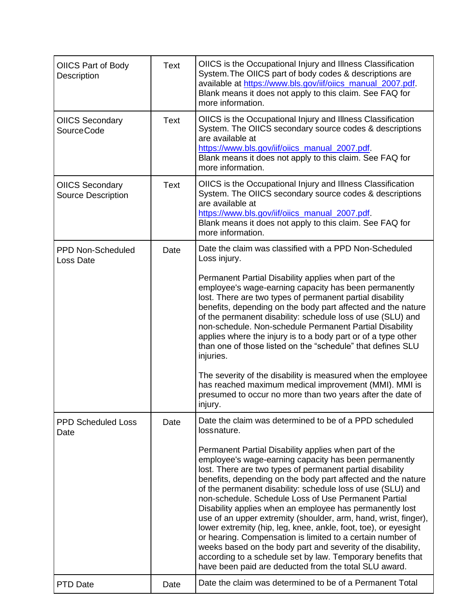| OIICS Part of Body<br>Description                   | <b>Text</b> | OIICS is the Occupational Injury and Illness Classification<br>System. The OIICS part of body codes & descriptions are<br>available at https://www.bls.gov/iif/oiics_manual_2007.pdf.<br>Blank means it does not apply to this claim. See FAQ for<br>more information.                                                                                                                                                                                                                                                                                                                                                                                                                                                                                                                                                     |
|-----------------------------------------------------|-------------|----------------------------------------------------------------------------------------------------------------------------------------------------------------------------------------------------------------------------------------------------------------------------------------------------------------------------------------------------------------------------------------------------------------------------------------------------------------------------------------------------------------------------------------------------------------------------------------------------------------------------------------------------------------------------------------------------------------------------------------------------------------------------------------------------------------------------|
| <b>OIICS Secondary</b><br><b>SourceCode</b>         | <b>Text</b> | OIICS is the Occupational Injury and Illness Classification<br>System. The OIICS secondary source codes & descriptions<br>are available at<br>https://www.bls.gov/iif/oiics_manual_2007.pdf<br>Blank means it does not apply to this claim. See FAQ for<br>more information.                                                                                                                                                                                                                                                                                                                                                                                                                                                                                                                                               |
| <b>OIICS Secondary</b><br><b>Source Description</b> | <b>Text</b> | OIICS is the Occupational Injury and Illness Classification<br>System. The OIICS secondary source codes & descriptions<br>are available at<br>https://www.bls.gov/iif/oiics_manual_2007.pdf<br>Blank means it does not apply to this claim. See FAQ for<br>more information.                                                                                                                                                                                                                                                                                                                                                                                                                                                                                                                                               |
| <b>PPD Non-Scheduled</b><br>Loss Date               | Date        | Date the claim was classified with a PPD Non-Scheduled<br>Loss injury.                                                                                                                                                                                                                                                                                                                                                                                                                                                                                                                                                                                                                                                                                                                                                     |
|                                                     |             | Permanent Partial Disability applies when part of the<br>employee's wage-earning capacity has been permanently<br>lost. There are two types of permanent partial disability<br>benefits, depending on the body part affected and the nature<br>of the permanent disability: schedule loss of use (SLU) and<br>non-schedule. Non-schedule Permanent Partial Disability<br>applies where the injury is to a body part or of a type other<br>than one of those listed on the "schedule" that defines SLU<br>injuries.                                                                                                                                                                                                                                                                                                         |
|                                                     |             | The severity of the disability is measured when the employee<br>has reached maximum medical improvement (MMI). MMI is<br>presumed to occur no more than two years after the date of<br>injury.                                                                                                                                                                                                                                                                                                                                                                                                                                                                                                                                                                                                                             |
| <b>PPD Scheduled Loss</b><br>Date                   | Date        | Date the claim was determined to be of a PPD scheduled<br>lossnature.                                                                                                                                                                                                                                                                                                                                                                                                                                                                                                                                                                                                                                                                                                                                                      |
|                                                     |             | Permanent Partial Disability applies when part of the<br>employee's wage-earning capacity has been permanently<br>lost. There are two types of permanent partial disability<br>benefits, depending on the body part affected and the nature<br>of the permanent disability: schedule loss of use (SLU) and<br>non-schedule. Schedule Loss of Use Permanent Partial<br>Disability applies when an employee has permanently lost<br>use of an upper extremity (shoulder, arm, hand, wrist, finger),<br>lower extremity (hip, leg, knee, ankle, foot, toe), or eyesight<br>or hearing. Compensation is limited to a certain number of<br>weeks based on the body part and severity of the disability,<br>according to a schedule set by law. Temporary benefits that<br>have been paid are deducted from the total SLU award. |
| PTD Date                                            | Date        | Date the claim was determined to be of a Permanent Total                                                                                                                                                                                                                                                                                                                                                                                                                                                                                                                                                                                                                                                                                                                                                                   |